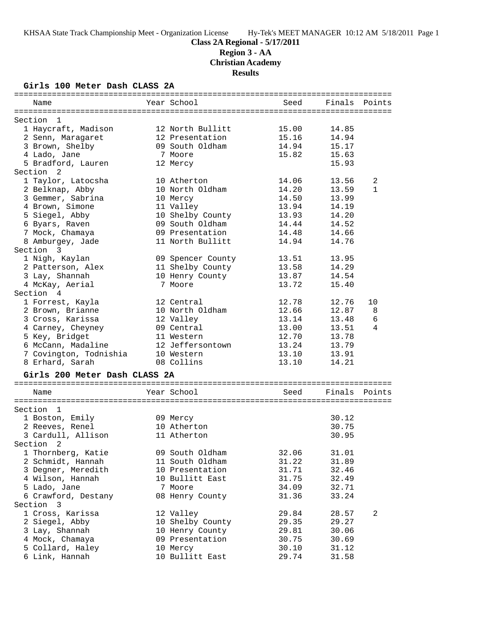**Region 3 - AA**

**Christian Academy**

**Results**

#### **Girls 100 Meter Dash CLASS 2A**

| Name                          | Year School       | Seed  | Finals        | Points       |
|-------------------------------|-------------------|-------|---------------|--------------|
| Section<br>- 1                |                   |       |               |              |
| 1 Haycraft, Madison           | 12 North Bullitt  | 15.00 | 14.85         |              |
| 2 Senn, Maragaret             | 12 Presentation   | 15.16 | 14.94         |              |
| 3 Brown, Shelby               | 09 South Oldham   | 14.94 | 15.17         |              |
| 4 Lado, Jane                  | 7 Moore           | 15.82 | 15.63         |              |
| 5 Bradford, Lauren            | 12 Mercy          |       | 15.93         |              |
| Section<br>- 2                |                   |       |               |              |
| 1 Taylor, Latocsha            | 10 Atherton       | 14.06 | 13.56         | 2            |
| 2 Belknap, Abby               | 10 North Oldham   | 14.20 | 13.59         | $\mathbf{1}$ |
| 3 Gemmer, Sabrina             | 10 Mercy          | 14.50 | 13.99         |              |
| 4 Brown, Simone               | 11 Valley         | 13.94 | 14.19         |              |
| 5 Siegel, Abby                | 10 Shelby County  | 13.93 | 14.20         |              |
| 6 Byars, Raven                | 09 South Oldham   | 14.44 | 14.52         |              |
| 7 Mock, Chamaya               | 09 Presentation   | 14.48 | 14.66         |              |
| 8 Amburgey, Jade              | 11 North Bullitt  | 14.94 | 14.76         |              |
| Section 3                     |                   |       |               |              |
| 1 Nigh, Kaylan                | 09 Spencer County | 13.51 | 13.95         |              |
| 2 Patterson, Alex             | 11 Shelby County  | 13.58 | 14.29         |              |
| 3 Lay, Shannah                | 10 Henry County   | 13.87 | 14.54         |              |
| 4 McKay, Aerial               | 7 Moore           | 13.72 | 15.40         |              |
| Section 4                     |                   |       |               |              |
| 1 Forrest, Kayla              | 12 Central        | 12.78 | 12.76         | 10           |
| 2 Brown, Brianne              | 10 North Oldham   | 12.66 | 12.87         | 8            |
| 3 Cross, Karissa              | 12 Valley         | 13.14 | 13.48         | 6            |
| 4 Carney, Cheyney             | 09 Central        | 13.00 | 13.51         | 4            |
| 5 Key, Bridget                | 11 Western        | 12.70 | 13.78         |              |
| 6 McCann, Madaline            | 12 Jeffersontown  | 13.24 | 13.79         |              |
| 7 Covington, Todnishia        | 10 Western        | 13.10 | 13.91         |              |
| 8 Erhard, Sarah               | 08 Collins        | 13.10 | 14.21         |              |
| Girls 200 Meter Dash CLASS 2A |                   |       |               |              |
|                               |                   |       |               |              |
| Name                          | Year School       | Seed  | Finals Points |              |
| Section<br>-1                 |                   |       |               |              |
| 1 Boston, Emily               | 09 Mercy          |       | 30.12         |              |
| 2 Reeves, Renel               | 10 Atherton       |       | 30.75         |              |
| 3 Cardull, Allison            | 11 Atherton       |       | 30.95         |              |
| Section 2                     |                   |       |               |              |
| 1 Thornberg, Katie            | 09 South Oldham   | 32.06 | 31.01         |              |
| 2 Schmidt, Hannah             | 11 South Oldham   | 31.22 | 31.89         |              |
| 3 Degner, Meredith            | 10 Presentation   | 31.71 | 32.46         |              |
| 4 Wilson, Hannah              | 10 Bullitt East   | 31.75 | 32.49         |              |
| 5 Lado, Jane                  | 7 Moore           | 34.09 | 32.71         |              |
| 6 Crawford, Destany           | 08 Henry County   | 31.36 | 33.24         |              |
| Section 3                     |                   |       |               |              |
| 1 Cross, Karissa              | 12 Valley         | 29.84 | 28.57         | 2            |
| 2 Siegel, Abby                | 10 Shelby County  | 29.35 | 29.27         |              |
| 3 Lay, Shannah                | 10 Henry County   | 29.81 | 30.06         |              |
| 4 Mock, Chamaya               | 09 Presentation   | 30.75 | 30.69         |              |
| 5 Collard, Haley              | 10 Mercy          | 30.10 | 31.12         |              |
| 6 Link, Hannah                | 10 Bullitt East   | 29.74 | 31.58         |              |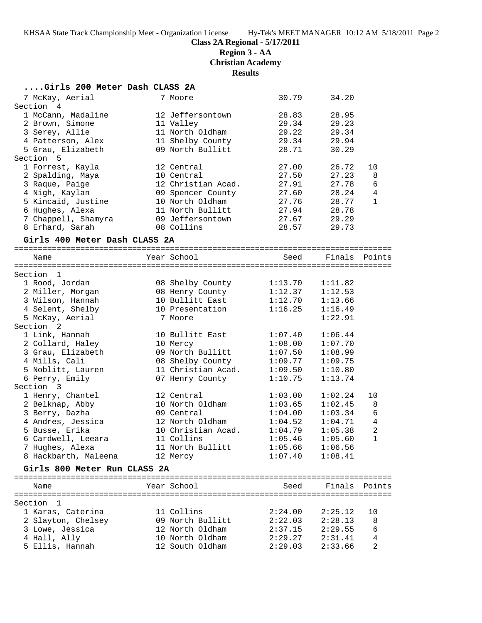**Class 2A Regional - 5/17/2011**

**Region 3 - AA**

**Christian Academy**

#### **Results**

|  | Girls 200 Meter Dash CLASS 2A |  |  |  |  |  |
|--|-------------------------------|--|--|--|--|--|
|--|-------------------------------|--|--|--|--|--|

| 7 McKay, Aerial               | 7 Moore            | 30.79              | 34.20              |                |
|-------------------------------|--------------------|--------------------|--------------------|----------------|
| Section 4                     |                    |                    |                    |                |
| 1 McCann, Madaline            | 12 Jeffersontown   | 28.83              | 28.95              |                |
| 2 Brown, Simone               | 11 Valley          | 29.34              | 29.23              |                |
| 3 Serey, Allie                | 11 North Oldham    | 29.22              | 29.34              |                |
| 4 Patterson, Alex             | 11 Shelby County   | 29.34              | 29.94              |                |
| 5 Grau, Elizabeth             | 09 North Bullitt   | 28.71              | 30.29              |                |
| Section 5                     |                    |                    |                    |                |
| 1 Forrest, Kayla              | 12 Central         | 27.00              | 26.72              | 10             |
| 2 Spalding, Maya              | 10 Central         | 27.50              | 27.23              | 8              |
| 3 Raque, Paige                | 12 Christian Acad. | 27.91              | 27.78              | 6              |
| 4 Nigh, Kaylan                | 09 Spencer County  | 27.60              | 28.24              | $\overline{4}$ |
| 5 Kincaid, Justine            | 10 North Oldham    | 27.76              | 28.77              | $\mathbf{1}$   |
| 6 Hughes, Alexa               | 11 North Bullitt   | 27.94              | 28.78              |                |
| 7 Chappell, Shamyra           | 09 Jeffersontown   | 27.67              | 29.29              |                |
| 8 Erhard, Sarah               | 08 Collins         | 28.57              | 29.73              |                |
|                               |                    |                    |                    |                |
| Girls 400 Meter Dash CLASS 2A |                    |                    |                    |                |
| Name                          | Year School        |                    | Seed Finals Points |                |
|                               |                    |                    |                    |                |
| Section 1                     |                    |                    |                    |                |
| 1 Rood, Jordan                | 08 Shelby County   | 1:13.70            | 1:11.82            |                |
| 2 Miller, Morgan              | 08 Henry County    | 1:12.37            | 1:12.53            |                |
| 3 Wilson, Hannah              | 10 Bullitt East    | 1:12.70            | 1:13.66            |                |
| 4 Selent, Shelby              | 10 Presentation    | 1:16.25            | 1:16.49            |                |
| 5 McKay, Aerial               | 7 Moore            |                    | 1:22.91            |                |
| Section 2                     |                    |                    |                    |                |
| 1 Link, Hannah                | 10 Bullitt East    | 1:07.40            | 1:06.44            |                |
| 2 Collard, Haley              | 10 Mercy           | 1:08.00            | 1:07.70            |                |
| 3 Grau, Elizabeth             | 09 North Bullitt   | 1:07.50            | 1:08.99            |                |
| 4 Mills, Cali                 | 08 Shelby County   | 1:09.77            | 1:09.75            |                |
| 5 Noblitt, Lauren             | 11 Christian Acad. | 1:09.50            | 1:10.80            |                |
|                               |                    | 1:10.75            |                    |                |
| 6 Perry, Emily<br>Section 3   | 07 Henry County    |                    | 1:13.74            |                |
|                               |                    |                    |                    |                |
| 1 Henry, Chantel              | 12 Central         | 1:03.00<br>1:03.65 | 1:02.24            | 10             |
| 2 Belknap, Abby               | 10 North Oldham    | 1:04.00            | 1:02.45            | 8              |
| 3 Berry, Dazha                | 09 Central         |                    | 1:03.34            | 6              |
| 4 Andres, Jessica             | 12 North Oldham    | 1:04.52            | 1:04.71            | 4              |
| 5 Busse, Erika                | 10 Christian Acad. | 1:04.79            | 1:05.38            | 2              |
| 6 Cardwell, Leeara            | 11 Collins         | 1:05.46            | 1:05.60            | $\mathbf{1}$   |
| 7 Hughes, Alexa               | 11 North Bullitt   | 1:05.66            | 1:06.56            |                |
| 8 Hackbarth, Maleena          | 12 Mercy           | 1:07.40            | 1:08.41            |                |
| Girls 800 Meter Run CLASS 2A  |                    |                    |                    |                |
| Name                          | Year School        | Seed               | Finals             | Points         |
|                               |                    |                    |                    |                |
| Section 1                     |                    |                    |                    |                |
| 1 Karas, Caterina             | 11 Collins         | 2:24.00            | 2:25.12            | 10             |
| 2 Slayton, Chelsey            | 09 North Bullitt   | 2:22.03            | 2:28.13            | 8              |
| 3 Lowe, Jessica               | 12 North Oldham    | 2:37.15            | 2:29.55            | 6              |
| 4 Hall, Ally                  | 10 North Oldham    | 2:29.27            | 2:31.41            | 4              |

5 Ellis, Hannah 12 South Oldham 2:29.03 2:33.66 2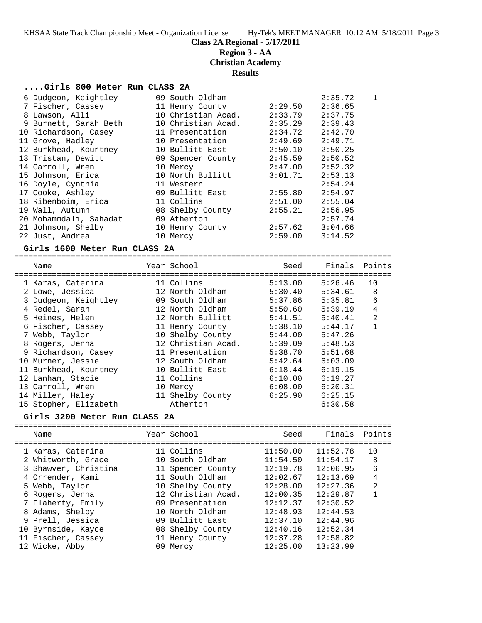**Region 3 - AA**

**Christian Academy**

**Results**

#### **....Girls 800 Meter Run CLASS 2A**

| 6 Dudgeon, Keightley   | 09 South Oldham    |         | 2:35.72 | $\mathbf{1}$ |
|------------------------|--------------------|---------|---------|--------------|
| 7 Fischer, Cassey      | 11 Henry County    | 2:29.50 | 2:36.65 |              |
| 8 Lawson, Alli         | 10 Christian Acad. | 2:33.79 | 2:37.75 |              |
| 9 Burnett, Sarah Beth  | 10 Christian Acad. | 2:35.29 | 2:39.43 |              |
| 10 Richardson, Casey   | 11 Presentation    | 2:34.72 | 2:42.70 |              |
| 11 Grove, Hadley       | 10 Presentation    | 2:49.69 | 2:49.71 |              |
| 12 Burkhead, Kourtney  | 10 Bullitt East    | 2:50.10 | 2:50.25 |              |
| 13 Tristan, Dewitt     | 09 Spencer County  | 2:45.59 | 2:50.52 |              |
| 14 Carroll, Wren       | 10 Mercy           | 2:47.00 | 2:52.32 |              |
| 15 Johnson, Erica      | 10 North Bullitt   | 3:01.71 | 2:53.13 |              |
| 16 Doyle, Cynthia      | 11 Western         |         | 2:54.24 |              |
| 17 Cooke, Ashley       | 09 Bullitt East    | 2:55.80 | 2:54.97 |              |
| 18 Ribenboim, Erica    | 11 Collins         | 2:51.00 | 2:55.04 |              |
| 19 Wall, Autumn        | 08 Shelby County   | 2:55.21 | 2:56.95 |              |
| 20 Mohammdali, Sahadat | 09 Atherton        |         | 2:57.74 |              |
| 21 Johnson, Shelby     | 10 Henry County    | 2:57.62 | 3:04.66 |              |
| 22 Just, Andrea        | 10 Mercy           | 2:59.00 | 3:14.52 |              |

#### **Girls 1600 Meter Run CLASS 2A**

================================================================================

| Name<br>========================== | Year School<br>===================================== | Seed    | Finals Points |                |
|------------------------------------|------------------------------------------------------|---------|---------------|----------------|
| 1 Karas, Caterina                  | 11 Collins                                           | 5:13.00 | 5:26.46       | 10             |
| 2 Lowe, Jessica                    | 12 North Oldham                                      | 5:30.40 | 5:34.61       | 8              |
| 3 Dudgeon, Keightley               | 09 South Oldham                                      | 5:37.86 | 5:35.81       | 6              |
| 4 Redel, Sarah                     | 12 North Oldham                                      | 5:50.60 | 5:39.19       | $\overline{4}$ |
| 5 Heines, Helen                    | 12 North Bullitt                                     | 5:41.51 | 5:40.41       | $\mathfrak{D}$ |
| 6 Fischer, Cassey                  | 11 Henry County                                      | 5:38.10 | 5:44.17       |                |
| 7 Webb, Taylor                     | 10 Shelby County                                     | 5:44.00 | 5:47.26       |                |
| 8 Rogers, Jenna                    | 12 Christian Acad.                                   | 5:39.09 | 5:48.53       |                |
| 9 Richardson, Casey                | 11 Presentation                                      | 5:38.70 | 5:51.68       |                |
| 10 Murner, Jessie                  | 12 South Oldham                                      | 5:42.64 | 6:03.09       |                |
| 11 Burkhead, Kourtney              | 10 Bullitt East                                      | 6:18.44 | 6:19.15       |                |
| 12 Lanham, Stacie                  | 11 Collins                                           | 6:10.00 | 6:19.27       |                |
| 13 Carroll, Wren                   | 10 Mercy                                             | 6:08.00 | 6:20.31       |                |
| 14 Miller, Haley                   | 11 Shelby County                                     | 6:25.90 | 6:25.15       |                |
| 15 Stopher, Elizabeth              | Atherton                                             |         | 6:30.58       |                |

#### **Girls 3200 Meter Run CLASS 2A**

| Name                                                                                                                                                                                                                             | Year School                                                                                                                                                                                                     | Seed                                                                                                                             | Finals Points                                                                                                                    |                                     |
|----------------------------------------------------------------------------------------------------------------------------------------------------------------------------------------------------------------------------------|-----------------------------------------------------------------------------------------------------------------------------------------------------------------------------------------------------------------|----------------------------------------------------------------------------------------------------------------------------------|----------------------------------------------------------------------------------------------------------------------------------|-------------------------------------|
| 1 Karas, Caterina<br>2 Whitworth, Grace<br>3 Shawyer, Christina<br>4 Orrender, Kami<br>5 Webb, Taylor<br>6 Rogers, Jenna<br>7 Flaherty, Emily<br>8 Adams, Shelby<br>9 Prell, Jessica<br>10 Byrnside, Kayce<br>11 Fischer, Cassey | 11 Collins<br>10 South Oldham<br>11 Spencer County<br>11 South Oldham<br>10 Shelby County<br>12 Christian Acad.<br>09 Presentation<br>10 North Oldham<br>09 Bullitt East<br>08 Shelby County<br>11 Henry County | 11:50.00<br>11:54.50<br>12:19.78<br>12:02.67<br>12:28.00<br>12:00.35<br>12:12.37<br>12:48.93<br>12:37.10<br>12:40.16<br>12:37.28 | 11:52.78<br>11:54.17<br>12:06.95<br>12:13.69<br>12:27.36<br>12:29.87<br>12:30.52<br>12:44.53<br>12:44.96<br>12:52.34<br>12:58.82 | 10<br>8<br>6<br>4<br>$\mathfrak{D}$ |
| 12 Wicke, Abby                                                                                                                                                                                                                   | 09 Mercy                                                                                                                                                                                                        | 12:25.00                                                                                                                         | 13:23.99                                                                                                                         |                                     |
|                                                                                                                                                                                                                                  |                                                                                                                                                                                                                 |                                                                                                                                  |                                                                                                                                  |                                     |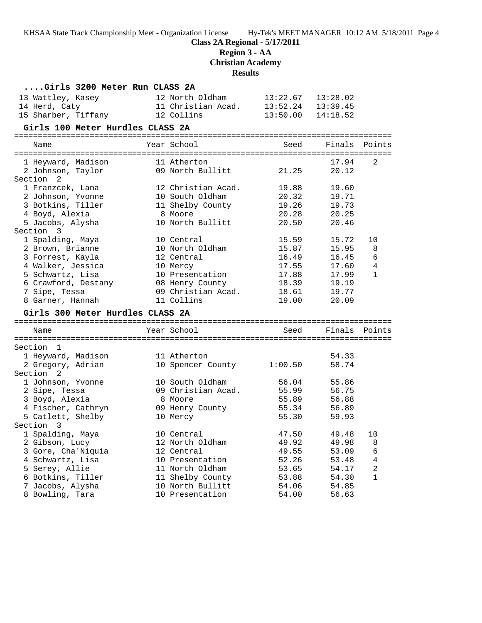**Class 2A Regional - 5/17/2011**

**Region 3 - AA**

**Christian Academy**

**Results**

| Girls 3200 Meter Run CLASS 2A    |                           |          |          |              |
|----------------------------------|---------------------------|----------|----------|--------------|
| 13 Wattley, Kasey                | 12 North Oldham           | 13:22.67 | 13:28.02 |              |
| 14 Herd, Caty                    | 11 Christian Acad.        | 13:52.24 | 13:39.45 |              |
| 15 Sharber, Tiffany              | 12 Collins                | 13:50.00 | 14:18.52 |              |
| Girls 100 Meter Hurdles CLASS 2A |                           |          |          |              |
| Name                             | Year School               | Seed     | Finals   | Points       |
|                                  |                           |          |          |              |
| 1 Heyward, Madison               | 11 Atherton               |          | 17.94    | 2            |
| 2 Johnson, Taylor                | 09 North Bullitt          | 21.25    | 20.12    |              |
| Section<br>2                     |                           |          |          |              |
| 1 Franzcek, Lana                 | 12 Christian Acad.        | 19.88    | 19.60    |              |
| 2 Johnson, Yvonne                | 10 South Oldham           | 20.32    | 19.71    |              |
| 3 Botkins, Tiller                | 11 Shelby County          | 19.26    | 19.73    |              |
| 4 Boyd, Alexia                   | 8 Moore                   | 20.28    | 20.25    |              |
| 5 Jacobs, Alysha                 | 10 North Bullitt          | 20.50    | 20.46    |              |
| Section 3                        |                           |          |          |              |
| 1 Spalding, Maya                 | 10 Central                | 15.59    | 15.72    | 10           |
| 2 Brown, Brianne                 | 10 North Oldham           | 15.87    | 15.95    | 8            |
| 3 Forrest, Kayla                 | 12 Central                | 16.49    | 16.45    | 6            |
| 4 Walker, Jessica                | 10 Mercy                  | 17.55    | 17.60    | 4            |
| 5 Schwartz, Lisa                 | 10 Presentation           | 17.88    | 17.99    | $\mathbf{1}$ |
| 6 Crawford, Destany              | 08 Henry County           | 18.39    | 19.19    |              |
| 7 Sipe, Tessa                    | 09 Christian Acad.        | 18.61    | 19.77    |              |
| 8 Garner, Hannah                 | 11 Collins                | 19.00    | 20.09    |              |
| Girls 300 Meter Hurdles CLASS 2A |                           |          |          |              |
| Name                             | Year School               | Seed     | Finals   | Points       |
|                                  |                           |          |          |              |
| Section 1                        |                           |          |          |              |
| 1 Heyward, Madison               | 11 Atherton               |          | 54.33    |              |
| 2 Gregory, Adrian                | 10 Spencer County 1:00.50 |          | 58.74    |              |
| Section 2                        |                           |          |          |              |
| 1 Johnson, Yvonne                | 10 South Oldham           | 56.04    | 55.86    |              |
| 2 Sipe, Tessa                    | 09 Christian Acad.        | 55.99    | 56.75    |              |
| 3 Boyd, Alexia                   | 8 Moore                   | 55.89    | 56.88    |              |
| 4 Fischer, Cathryn               | 09 Henry County           | 55.34    | 56.89    |              |
| 5 Catlett, Shelby                | 10 Mercy                  | 55.30    | 59.93    |              |
| Section 3                        |                           |          |          |              |
| 1 Spalding, Maya                 | 10 Central                | 47.50    | 49.48    | 10           |
| 2 Gibson, Lucy                   | 12 North Oldham           | 49.92    | 49.98    | 8            |
| 3 Gore, Cha'Niquia               | 12 Central                | 49.55    | 53.09    | 6            |
| 4 Schwartz, Lisa                 | 10 Presentation           | 52.26    | 53.48    | 4            |
| 5 Serey, Allie                   | 11 North Oldham           | 53.65    | 54.17    | $\sqrt{2}$   |
| 6 Botkins, Tiller                | 11 Shelby County          | 53.88    | 54.30    | $\mathbf{1}$ |
| 7 Jacobs, Alysha                 | 10 North Bullitt          | 54.06    | 54.85    |              |
| 8 Bowling, Tara                  | 10 Presentation           | 54.00    | 56.63    |              |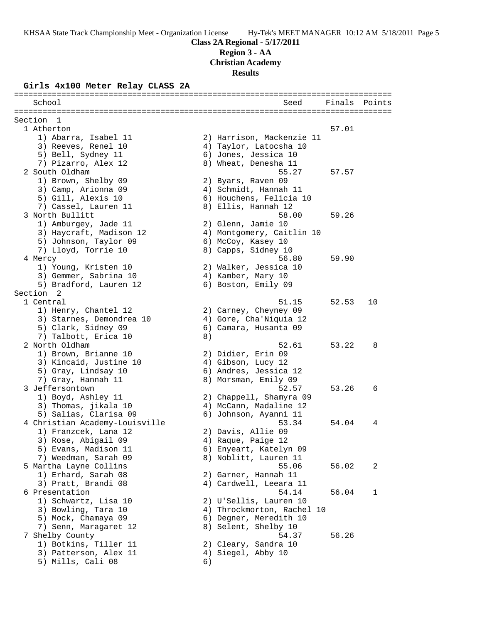**Region 3 - AA**

**Christian Academy**

**Results**

#### **Girls 4x100 Meter Relay CLASS 2A**

|         | ======================<br>School               |    | Seed                       | Finals | Points |
|---------|------------------------------------------------|----|----------------------------|--------|--------|
| Section | $\mathbf{1}$                                   |    |                            |        |        |
|         | 1 Atherton                                     |    |                            | 57.01  |        |
|         | 1) Abarra, Isabel 11                           |    | 2) Harrison, Mackenzie 11  |        |        |
|         | 3) Reeves, Renel 10                            |    | 4) Taylor, Latocsha 10     |        |        |
|         | 5) Bell, Sydney 11                             |    | 6) Jones, Jessica 10       |        |        |
|         | 7) Pizarro, Alex 12                            |    | 8) Wheat, Denesha 11       |        |        |
|         | 2 South Oldham                                 |    | 55.27                      | 57.57  |        |
|         | 1) Brown, Shelby 09                            |    | 2) Byars, Raven 09         |        |        |
|         | 3) Camp, Arionna 09                            |    | 4) Schmidt, Hannah 11      |        |        |
|         | 5) Gill, Alexis 10                             |    | 6) Houchens, Felicia 10    |        |        |
|         | 7) Cassel, Lauren 11                           |    | 8) Ellis, Hannah 12        |        |        |
|         | 3 North Bullitt                                |    | 58.00                      | 59.26  |        |
|         | 1) Amburgey, Jade 11                           |    | 2) Glenn, Jamie 10         |        |        |
|         | 3) Haycraft, Madison 12                        |    | 4) Montgomery, Caitlin 10  |        |        |
|         | 5) Johnson, Taylor 09                          |    | 6) McCoy, Kasey 10         |        |        |
|         | 7) Lloyd, Torrie 10                            |    | 8) Capps, Sidney 10        |        |        |
|         | 4 Mercy                                        |    | 56.80                      | 59.90  |        |
|         | 1) Young, Kristen 10                           |    | 2) Walker, Jessica 10      |        |        |
|         | 3) Gemmer, Sabrina 10                          |    | 4) Kamber, Mary 10         |        |        |
|         | 5) Bradford, Lauren 12<br>Section <sub>2</sub> |    | 6) Boston, Emily 09        |        |        |
|         | 1 Central                                      |    | 51.15                      | 52.53  | 10     |
|         | 1) Henry, Chantel 12                           |    | 2) Carney, Cheyney 09      |        |        |
|         | 3) Starnes, Demondrea 10                       |    | 4) Gore, Cha'Niquia 12     |        |        |
|         | 5) Clark, Sidney 09                            |    | 6) Camara, Husanta 09      |        |        |
|         | 7) Talbott, Erica 10                           | 8) |                            |        |        |
|         | 2 North Oldham                                 |    | 52.61                      | 53.22  | 8      |
|         | 1) Brown, Brianne 10                           |    | 2) Didier, Erin 09         |        |        |
|         | 3) Kincaid, Justine 10                         |    | 4) Gibson, Lucy 12         |        |        |
|         | 5) Gray, Lindsay 10                            |    | 6) Andres, Jessica 12      |        |        |
|         | 7) Gray, Hannah 11                             |    | 8) Morsman, Emily 09       |        |        |
|         | 3 Jeffersontown                                |    | 52.57                      | 53.26  | 6      |
|         | 1) Boyd, Ashley 11                             |    | 2) Chappell, Shamyra 09    |        |        |
|         | 3) Thomas, jikala 10                           |    | 4) McCann, Madaline 12     |        |        |
|         | 5) Salias, Clarisa 09                          |    | 6) Johnson, Ayanni 11      |        |        |
|         | 4 Christian Academy-Louisville                 |    | 53.34                      | 54.04  | 4      |
|         | 1) Franzcek, Lana 12                           |    | 2) Davis, Allie 09         |        |        |
|         | 3) Rose, Abigail 09                            |    | 4) Raque, Paige 12         |        |        |
|         | 5) Evans, Madison 11                           |    | 6) Enyeart, Katelyn 09     |        |        |
|         | 7) Weedman, Sarah 09                           |    | 8) Noblitt, Lauren 11      |        |        |
|         | 5 Martha Layne Collins                         |    | 55.06                      | 56.02  | 2      |
|         | 1) Erhard, Sarah 08                            |    | 2) Garner, Hannah 11       |        |        |
|         | 3) Pratt, Brandi 08                            |    | 4) Cardwell, Leeara 11     |        |        |
|         | 6 Presentation                                 |    | 54.14                      | 56.04  | 1      |
|         | 1) Schwartz, Lisa 10                           |    | 2) U'Sellis, Lauren 10     |        |        |
|         | 3) Bowling, Tara 10                            |    | 4) Throckmorton, Rachel 10 |        |        |
|         | 5) Mock, Chamaya 09                            |    | 6) Degner, Meredith 10     |        |        |
|         | 7) Senn, Maragaret 12                          |    | 8) Selent, Shelby 10       |        |        |
|         | 7 Shelby County                                |    | 54.37                      | 56.26  |        |
|         | 1) Botkins, Tiller 11                          |    | 2) Cleary, Sandra 10       |        |        |
|         | 3) Patterson, Alex 11                          |    | 4) Siegel, Abby 10         |        |        |
|         | 5) Mills, Cali 08                              | 6) |                            |        |        |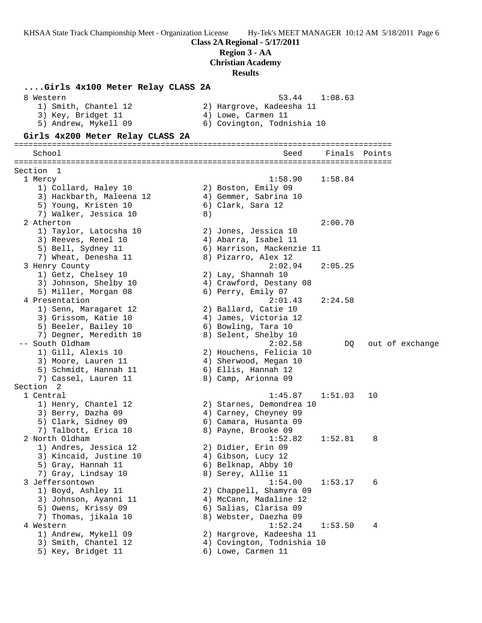#### **Region 3 - AA**

**Christian Academy**

#### **Results**

**....Girls 4x100 Meter Relay CLASS 2A** 8 Western 53.44 1:08.63 1) Smith, Chantel 12 2) Hargrove, Kadeesha 11 3) Key, Bridget 11 (4) Lowe, Carmen 11 5) Andrew, Mykell 09 6) Covington, Todnishia 10 **Girls 4x200 Meter Relay CLASS 2A** ================================================================================ School Seed Finals Points ================================================================================ Section 1 1 Mercy 1:58.90 1:58.84 1) Collard, Haley 10 2) Boston, Emily 09 3) Hackbarth, Maleena 12 4) Gemmer, Sabrina 10 5) Young, Kristen 10 (6) Clark, Sara 12 7) Walker, Jessica 10 8) 2 Atherton 2:00.70 1) Taylor, Latocsha 10 2) Jones, Jessica 10 3) Reeves, Renel 10 4) Abarra, Isabel 11 5) Bell, Sydney 11 6) Harrison, Mackenzie 11 7) Wheat, Denesha 11 8) Pizarro, Alex 12 3 Henry County 2:02.94 2:05.25 1) Getz, Chelsey 10 2) Lay, Shannah 10 3) Johnson, Shelby 10 4) Crawford, Destany 08 5) Miller, Morgan 08 6) Perry, Emily 07 4 Presentation 2:01.43 2:24.58 1) Senn, Maragaret 12  $\hspace{1.6cm}$  2) Ballard, Catie 10 3) Grissom, Katie 10 4) James, Victoria 12 5) Beeler, Bailey 10 (6) Bowling, Tara 10 7) Degner, Meredith 10 8) Selent, Shelby 10 -- South Oldham 2:02.58 DQ out of exchange 1) Gill, Alexis 10 2) Houchens, Felicia 10 3) Moore, Lauren 11 4) Sherwood, Megan 10 5) Schmidt, Hannah 11 6) Ellis, Hannah 12 7) Cassel, Lauren 11 and 8) Camp, Arionna 09 Section 2 1 Central 1:45.87 1:51.03 10 1) Henry, Chantel 12 2) Starnes, Demondrea 10 3) Berry, Dazha 09 4) Carney, Cheyney 09 5) Clark, Sidney 09 6) Camara, Husanta 09 7) Talbott, Erica 10 and 8) Payne, Brooke 09 2 North Oldham 1:52.82 1:52.81 8 1) Andres, Jessica 12 2) Didier, Erin 09 3) Kincaid, Justine 10 (4) Gibson, Lucy 12 5) Gray, Hannah 11 6) Belknap, Abby 10 7) Gray, Lindsay 10 8) Serey, Allie 11 3 Jeffersontown 1:54.00 1:53.17 6 1) Boyd, Ashley 11 2) Chappell, Shamyra 09 3) Johnson, Ayanni 11 4) McCann, Madaline 12 5) Owens, Krissy 09 6) Salias, Clarisa 09 7) Thomas, jikala 10 8) Webster, Daezha 09 4 Western 1:52.24 1:53.50 4 1) Andrew, Mykell 09 2) Hargrove, Kadeesha 11 3) Smith, Chantel 12 4) Covington, Todnishia 10 5) Key, Bridget 11 6) Lowe, Carmen 11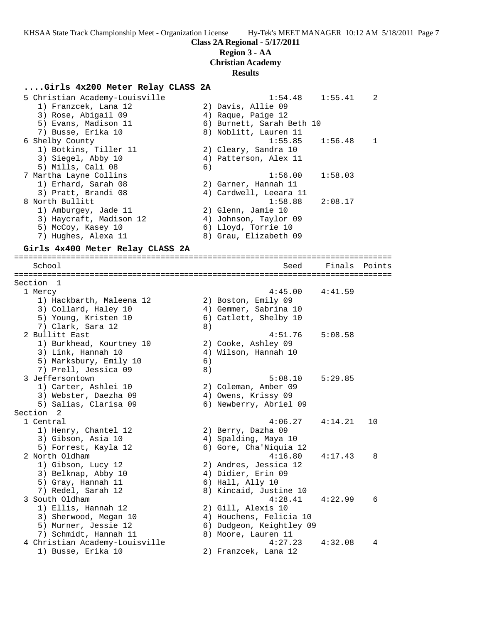**Class 2A Regional - 5/17/2011**

#### **Region 3 - AA**

**Christian Academy**

#### **Results**

#### **....Girls 4x200 Meter Relay CLASS 2A**

| 5 Christian Academy-Louisville | 1:54.48<br>1:55.41        | $\mathcal{L}$ |
|--------------------------------|---------------------------|---------------|
| 1) Franzcek, Lana 12           | 2) Davis, Allie 09        |               |
| 3) Rose, Abigail 09            | 4) Raque, Paige 12        |               |
| 5) Evans, Madison 11           | 6) Burnett, Sarah Beth 10 |               |
| 7) Busse, Erika 10             | 8) Noblitt, Lauren 11     |               |
| 6 Shelby County                | $1:55.85$ $1:56.48$       | $\mathbf{1}$  |
| 1) Botkins, Tiller 11          | 2) Cleary, Sandra 10      |               |
| 3) Siegel, Abby 10             | 4) Patterson, Alex 11     |               |
| 5) Mills, Cali 08              | 6)                        |               |
| 7 Martha Layne Collins         | 1:58.03<br>1:56.00        |               |
| 1) Erhard, Sarah 08            | 2) Garner, Hannah 11      |               |
| 3) Pratt, Brandi 08            | 4) Cardwell, Leeara 11    |               |
| 8 North Bullitt                | $1:58.88$ $2:08.17$       |               |
| 1) Amburgey, Jade 11           | 2) Glenn, Jamie 10        |               |
| 3) Haycraft, Madison 12        | 4) Johnson, Taylor 09     |               |
| 5) McCoy, Kasey 10             | 6) Lloyd, Torrie 10       |               |
| 7) Hughes, Alexa 11            | 8) Grau, Elizabeth 09     |               |
|                                |                           |               |

#### **Girls 4x400 Meter Relay CLASS 2A**

================================================================================ School Seed Finals Points ================================================================================ Section 1 1 Mercy 4:45.00 4:41.59 1) Hackbarth, Maleena 12 2) Boston, Emily 09 3) Collard, Haley 10 4) Gemmer, Sabrina 10 5) Young, Kristen 10 6) Catlett, Shelby 10 7) Clark, Sara 12 (8) 2 Bullitt East 4:51.76 5:08.58 1) Burkhead, Kourtney 10 2) Cooke, Ashley 09 3) Link, Hannah 10 4) Wilson, Hannah 10 5) Marksbury, Emily 10 6) 7) Prell, Jessica 09 8) 3 Jeffersontown 5:08.10 5:29.85 1) Carter, Ashlei 10 2) Coleman, Amber 09 3) Webster, Daezha 09 4) Owens, Krissy 09 5) Salias, Clarisa 09 6) Newberry, Abriel 09 Section 2 1 Central 4:06.27 4:14.21 10 1) Henry, Chantel 12 2) Berry, Dazha 09 3) Gibson, Asia 10 (4) Spalding, Maya 10 5) Forrest, Kayla 12 6) Gore, Cha'Niquia 12 2 North Oldham 4:16.80 4:17.43 8 1) Gibson, Lucy 12 2) Andres, Jessica 12 3) Belknap, Abby 10 (4) Didier, Erin 09 5) Gray, Hannah 11 6) Hall, Ally 10 7) Redel, Sarah 12 8) Kincaid, Justine 10 3 South Oldham 4:28.41 4:22.99 6 1) Ellis, Hannah 12 2) Gill, Alexis 10 3) Sherwood, Megan 10 4) Houchens, Felicia 10 5) Murner, Jessie 12 6) Dudgeon, Keightley 09 7) Schmidt, Hannah 11 and 8) Moore, Lauren 11 4 Christian Academy-Louisville 4:27.23 4:32.08 4 1) Busse, Erika 10 2) Franzcek, Lana 12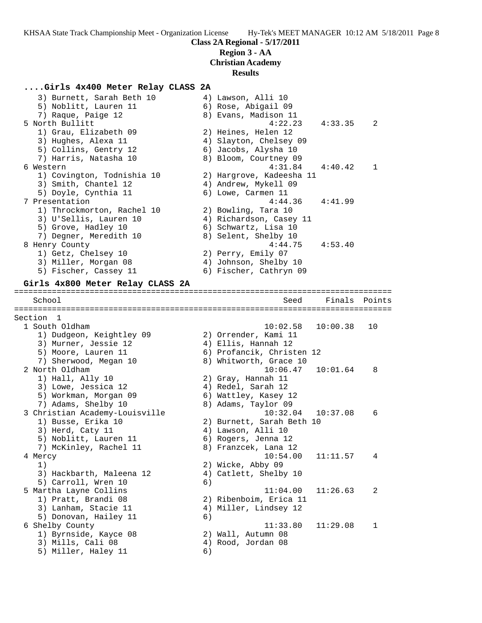**Class 2A Regional - 5/17/2011**

# **Region 3 - AA**

**Christian Academy**

# **Results**

# **....Girls 4x400 Meter Relay CLASS 2A**

| 3) Burnett, Sarah Beth 10<br>5) Noblitt, Lauren 11                    |    | 4) Lawson, Alli 10<br>6) Rose, Abigail 09<br>8) Evans, Madison 11       |          |        |
|-----------------------------------------------------------------------|----|-------------------------------------------------------------------------|----------|--------|
| 7) Raque, Paige 12<br>5 North Bullitt<br>1) Grau, Elizabeth 09        |    | 4:22.23<br>2) Heines, Helen 12                                          | 4:33.35  | 2      |
| 3) Hughes, Alexa 11<br>5) Collins, Gentry 12<br>7) Harris, Natasha 10 |    | 4) Slayton, Chelsey 09<br>6) Jacobs, Alysha 10<br>8) Bloom, Courtney 09 |          |        |
| 6 Western                                                             |    | 4:31.84                                                                 | 4:40.42  | 1      |
| 1) Covington, Todnishia 10<br>3) Smith, Chantel 12                    |    | 2) Hargrove, Kadeesha 11<br>4) Andrew, Mykell 09                        |          |        |
| 5) Doyle, Cynthia 11<br>7 Presentation                                |    | 6) Lowe, Carmen 11<br>4:44.36                                           | 4:41.99  |        |
| 1) Throckmorton, Rachel 10                                            |    | 2) Bowling, Tara 10                                                     |          |        |
| 3) U'Sellis, Lauren 10                                                |    | 4) Richardson, Casey 11                                                 |          |        |
| 5) Grove, Hadley 10                                                   |    | 6) Schwartz, Lisa 10                                                    |          |        |
| 7) Degner, Meredith 10                                                |    | 8) Selent, Shelby 10                                                    |          |        |
| 8 Henry County<br>1) Getz, Chelsey 10                                 |    | 4:44.75<br>2) Perry, Emily 07                                           | 4:53.40  |        |
| 3) Miller, Morgan 08                                                  |    | 4) Johnson, Shelby 10                                                   |          |        |
| 5) Fischer, Cassey 11                                                 |    | 6) Fischer, Cathryn 09                                                  |          |        |
| Girls 4x800 Meter Relay CLASS 2A                                      |    |                                                                         |          |        |
| School                                                                |    | Seed                                                                    | Finals   | Points |
|                                                                       |    |                                                                         |          |        |
| Section 1<br>1 South Oldham                                           |    | 10:02.58                                                                | 10:00.38 | 10     |
| 1) Dudgeon, Keightley 09                                              |    | 2) Orrender, Kami 11                                                    |          |        |
| 3) Murner, Jessie 12                                                  |    | 4) Ellis, Hannah 12                                                     |          |        |
| 5) Moore, Lauren 11                                                   |    | 6) Profancik, Christen 12                                               |          |        |
| 7) Sherwood, Megan 10                                                 |    | 8) Whitworth, Grace 10                                                  |          |        |
| 2 North Oldham                                                        |    | 10:06.47                                                                | 10:01.64 | 8      |
| 1) Hall, Ally 10                                                      |    | 2) Gray, Hannah 11                                                      |          |        |
| 3) Lowe, Jessica 12                                                   |    | 4) Redel, Sarah 12                                                      |          |        |
| 5) Workman, Morgan 09<br>7) Adams, Shelby 10                          |    | 6) Wattley, Kasey 12<br>8) Adams, Taylor 09                             |          |        |
| 3 Christian Academy-Louisville                                        |    | 10:32.04                                                                | 10:37.08 | 6      |
| 1) Busse, Erika 10                                                    |    | 2) Burnett, Sarah Beth 10                                               |          |        |
| 3) Herd, Caty 11                                                      |    | 4) Lawson, Alli 10                                                      |          |        |
| 5) Noblitt, Lauren 11                                                 |    | 6) Rogers, Jenna 12                                                     |          |        |
| 7) McKinley, Rachel 11                                                |    | 8) Franzcek, Lana 12                                                    |          |        |
| 4 Mercy                                                               |    | 10:54.00                                                                | 11:11.57 | 4      |
| 1)                                                                    |    | 2) Wicke, Abby 09                                                       |          |        |
| 3) Hackbarth, Maleena 12                                              |    | 4) Catlett, Shelby 10                                                   |          |        |
| 5) Carroll, Wren 10                                                   | 6) |                                                                         |          |        |
| 5 Martha Layne Collins                                                |    | 11:04.00                                                                | 11:26.63 | 2      |
| 1) Pratt, Brandi 08<br>3) Lanham, Stacie 11                           |    | 2) Ribenboim, Erica 11                                                  |          |        |
|                                                                       |    | 4) Miller, Lindsey 12                                                   |          |        |
|                                                                       |    |                                                                         |          |        |
| 5) Donovan, Hailey 11                                                 | 6) |                                                                         |          |        |
| 6 Shelby County                                                       |    | 11:33.80                                                                | 11:29.08 | 1      |
| 1) Byrnside, Kayce 08                                                 |    | 2) Wall, Autumn 08                                                      |          |        |
| 3) Mills, Cali 08<br>5) Miller, Haley 11                              | 6) | 4) Rood, Jordan 08                                                      |          |        |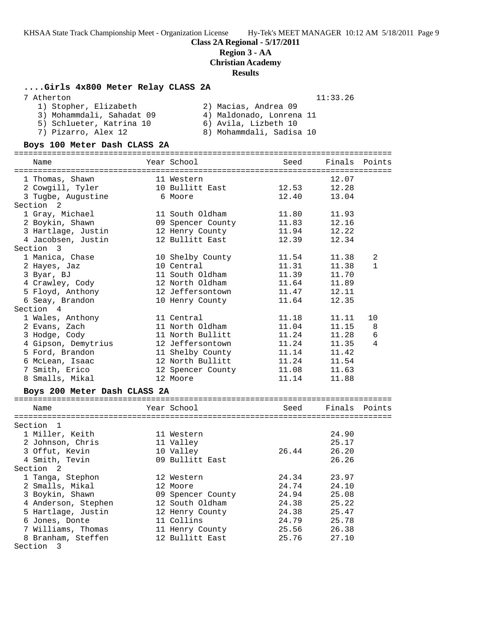**Class 2A Regional - 5/17/2011**

#### **Region 3 - AA**

**Christian Academy**

**Results**

#### **....Girls 4x800 Meter Relay CLASS 2A**

| 7 Atherton | 11:33.26 |
|------------|----------|
|            |          |

| 1) Stopher, Elizabeth     | 2) Macias, Andrea 09     |
|---------------------------|--------------------------|
| 3) Mohammdali, Sahadat 09 | 4) Maldonado, Lonrena 11 |
| 5) Schlueter, Katrina 10  | 6) Avila, Lizbeth 10     |
| 7) Pizarro, Alex 12       | 8) Mohammdali, Sadisa 10 |

#### **Boys 100 Meter Dash CLASS 2A**

================================================================================ Name Tear School Seed Finals Points ================================================================================ 1 Thomas, Shawn 11 Western 12.07 2 Cowgill, Tyler 10 Bullitt East 12.53 12.28 3 Tugbe, Augustine 6 Moore 12.40 13.04 Section 2 1 Gray, Michael 11 South Oldham 11.80 11.93 2 Boykin, Shawn 09 Spencer County 11.83 12.16 3 Hartlage, Justin 12 Henry County 11.94 12.22 4 Jacobsen, Justin 12 Bullitt East 12.39 12.34 Section 3 1 Manica, Chase 10 Shelby County 11.54 11.38 2 2 Hayes, Jaz 10 Central 11.31 11.38 1 3 Byar, BJ 11 South Oldham 11.39 11.70 4 Crawley, Cody 12 North Oldham 11.64 11.89 5 Floyd, Anthony 12 Jeffersontown 11.47 12.11 6 Seay, Brandon 10 Henry County 11.64 12.35 Section 4 1 Wales, Anthony 11 Central 11.18 11.11 10 2 Evans, Zach 11 North Oldham 11.04 11.15 8 3 Hodge, Cody 11 North Bullitt 11.24 11.28 6 4 Gipson, Demytrius 12 Jeffersontown 11.24 11.35 4 5 Ford, Brandon 11 Shelby County 11.14 11.42 6 McLean, Isaac 12 North Bullitt 11.24 11.54 7 Smith, Erico 12 Spencer County 11.08 11.63 8 Smalls, Mikal 12 Moore 11.14 11.88

#### **Boys 200 Meter Dash CLASS 2A**

| Name                | Year School       | Seed  | Finals Points |  |
|---------------------|-------------------|-------|---------------|--|
| Section 1           |                   |       |               |  |
| 1 Miller, Keith     | 11 Western        |       | 24.90         |  |
| 2 Johnson, Chris    | 11 Valley         |       | 25.17         |  |
| 3 Offut, Kevin      | 10 Valley         | 26.44 | 26.20         |  |
| 4 Smith, Tevin      | 09 Bullitt East   |       | 26.26         |  |
| Section 2           |                   |       |               |  |
| 1 Tanga, Stephon    | 12 Western        | 24.34 | 23.97         |  |
| 2 Smalls, Mikal     | 12 Moore          | 24.74 | 24.10         |  |
| 3 Boykin, Shawn     | 09 Spencer County | 24.94 | 25.08         |  |
| 4 Anderson, Stephen | 12 South Oldham   | 24.38 | 25.22         |  |
| 5 Hartlage, Justin  | 12 Henry County   | 24.38 | 25.47         |  |
| 6 Jones, Donte      | 11 Collins        | 24.79 | 25.78         |  |
| 7 Williams, Thomas  | 11 Henry County   | 25.56 | 26.38         |  |
| 8 Branham, Steffen  | 12 Bullitt East   | 25.76 | 27.10         |  |
| Section<br>-3       |                   |       |               |  |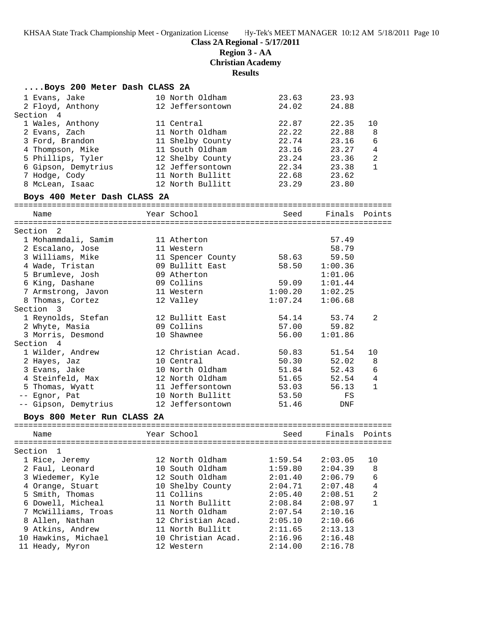**Class 2A Regional - 5/17/2011**

**Region 3 - AA**

**Christian Academy**

**Results**

| Boys 200 Meter Dash CLASS 2A |                                                  |         |               |                |
|------------------------------|--------------------------------------------------|---------|---------------|----------------|
| 1 Evans, Jake                | 10 North Oldham                                  | 23.63   | 23.93         |                |
| 2 Floyd, Anthony             | 12 Jeffersontown                                 | 24.02   | 24.88         |                |
| Section 4                    |                                                  |         |               |                |
| 1 Wales, Anthony             | 11 Central                                       | 22.87   | 22.35         | 10             |
| 2 Evans, Zach                | 11 North Oldham                                  | 22.22   | 22.88         | 8              |
| 3 Ford, Brandon              | 11 Shelby County                                 | 22.74   | 23.16         | 6              |
| 4 Thompson, Mike             | 11 South Oldham                                  | 23.16   | 23.27         | $\overline{4}$ |
| 5 Phillips, Tyler            | 12 Shelby County                                 | 23.24   | 23.36         | $\overline{a}$ |
| 6 Gipson, Demytrius          | 12 Jeffersontown                                 | 22.34   | 23.38         | $\mathbf{1}$   |
| 7 Hodge, Cody                | 11 North Bullitt                                 | 22.68   | 23.62         |                |
| 8 McLean, Isaac              | 12 North Bullitt                                 | 23.29   | 23.80         |                |
| Boys 400 Meter Dash CLASS 2A |                                                  |         |               |                |
| Name                         | Year School                                      | Seed    | Finals Points |                |
|                              |                                                  |         |               |                |
| Section <sub>2</sub>         |                                                  |         |               |                |
| 1 Mohammdali, Samim          | 11 Atherton                                      |         | 57.49         |                |
| 2 Escalano, Jose             | 11 Western                                       |         | 58.79         |                |
| 3 Williams, Mike             | 11 Spencer County                                | 58.63   | 59.50         |                |
| 4 Wade, Tristan              | 09 Bullitt East                                  | 58.50   | 1:00.36       |                |
| 5 Brumleve, Josh             | 09 Atherton                                      |         | 1:01.06       |                |
| 6 King, Dashane              | 09 Collins                                       | 59.09   | 1:01.44       |                |
| 7 Armstrong, Javon           | 11 Western                                       | 1:00.20 | 1:02.25       |                |
| 8 Thomas, Cortez             | 12 Valley                                        | 1:07.24 | 1:06.68       |                |
| Section 3                    |                                                  |         |               |                |
| 1 Reynolds, Stefan           | 12 Bullitt East                                  | 54.14   | 53.74         | 2              |
| 2 Whyte, Masia               | 09 Collins                                       | 57.00   | 59.82         |                |
| 3 Morris, Desmond            | 10 Shawnee                                       | 56.00   | 1:01.86       |                |
| Section 4                    |                                                  |         |               |                |
| 1 Wilder, Andrew             | 12 Christian Acad.                               | 50.83   | 51.54         | 10             |
| 2 Hayes, Jaz                 | 10 Central                                       | 50.30   | 52.02         | 8              |
| 3 Evans, Jake                | 10 North Oldham                                  | 51.84   | 52.43         | $\epsilon$     |
| 4 Steinfeld, Max             | 12 North Oldham                                  | 51.65   | 52.54         | $\overline{4}$ |
| 5 Thomas, Wyatt              | 11 Jeffersontown                                 | 53.03   | 56.13         | $\mathbf{1}$   |
| -- Egnor, Pat                | 10 North Bullitt                                 | 53.50   | FS            |                |
| -- Gipson, Demytrius         | 12 Jeffersontown                                 | 51.46   | DNF           |                |
| Boys 800 Meter Run CLASS 2A  |                                                  |         |               |                |
|                              |                                                  |         |               |                |
| Name                         | <b>Example 19 Year School Seed Finals Points</b> |         |               |                |
| Section 1                    |                                                  |         |               |                |
| 1 Rice, Jeremy               | 12 North Oldham                                  | 1:59.54 | 2:03.05       | 10             |
| 2 Faul, Leonard              | 10 South Oldham                                  | 1:59.80 | 2:04.39       | 8              |
| 3 Wiedemer, Kyle             | 12 South Oldham                                  | 2:01.40 | 2:06.79       | 6              |
| 4 Orange, Stuart             | 10 Shelby County                                 | 2:04.71 | 2:07.48       | 4              |
| 5 Smith, Thomas              | 11 Collins                                       | 2:05.40 | 2:08.51       | 2              |
| 6 Dowell, Micheal            | 11 North Bullitt                                 | 2:08.84 | 2:08.97       | $\mathbf{1}$   |
| 7 McWilliams, Troas          | 11 North Oldham                                  | 2:07.54 | 2:10.16       |                |
| 8 Allen, Nathan              | 12 Christian Acad.                               | 2:05.10 | 2:10.66       |                |
| 9 Atkins, Andrew             | 11 North Bullitt                                 | 2:11.65 | 2:13.13       |                |
| 10 Hawkins, Michael          | 10 Christian Acad.                               | 2:16.96 | 2:16.48       |                |
| 11 Heady, Myron              | 12 Western                                       | 2:14.00 | 2:16.78       |                |
|                              |                                                  |         |               |                |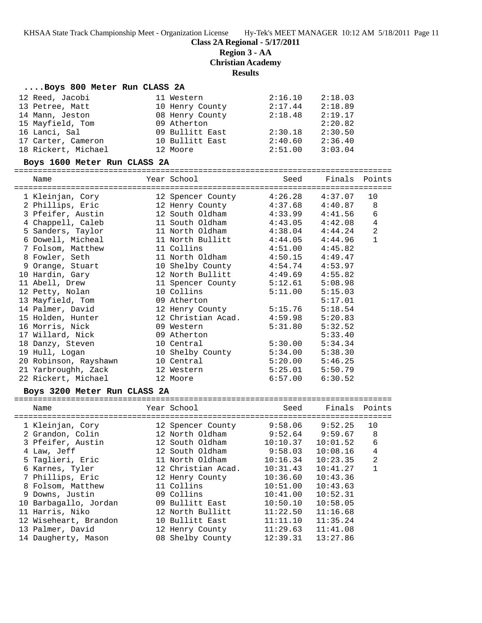**Class 2A Regional - 5/17/2011**

**Region 3 - AA**

**Christian Academy**

**Results**

#### **....Boys 800 Meter Run CLASS 2A**

| 12 Reed, Jacobi     | 11 Western      | 2:16.10 | 2:18.03 |
|---------------------|-----------------|---------|---------|
| 13 Petree, Matt     | 10 Henry County | 2:17.44 | 2:18.89 |
| 14 Mann, Jeston     | 08 Henry County | 2:18.48 | 2:19.17 |
| 15 Mayfield, Tom    | 09 Atherton     |         | 2:20.82 |
| 16 Lanci, Sal       | 09 Bullitt East | 2:30.18 | 2:30.50 |
| 17 Carter, Cameron  | 10 Bullitt East | 2:40.60 | 2:36.40 |
| 18 Rickert, Michael | 12 Moore        | 2:51.00 | 3:03.04 |

#### **Boys 1600 Meter Run CLASS 2A**

================================================================================ Name Year School Seed Finals Points ================================================================================ 1 Kleinjan, Cory 12 Spencer County 4:26.28 4:37.07 10 2 Phillips, Eric 12 Henry County 4:37.68 4:40.87 8 3 Pfeifer, Austin 12 South Oldham 4:33.99 4:41.56 6 4 Chappell, Caleb 11 South Oldham 4:43.05 4:42.08 4 5 Sanders, Taylor 11 North Oldham 4:38.04 4:44.24 2 6 Dowell, Micheal 11 North Bullitt 4:44.05 4:44.96 1 7 Folsom, Matthew 11 Collins 4:51.00 4:45.82 8 Fowler, Seth 11 North Oldham 4:50.15 4:49.47 9 Orange, Stuart 10 Shelby County 4:54.74 4:53.97 10 Hardin, Gary 12 North Bullitt 4:49.69 4:55.82 11 Abell, Drew 11 Spencer County 5:12.61 5:08.98 12 Petty, Nolan 10 Collins 5:11.00 5:15.03 13 Mayfield, Tom 09 Atherton 5:17.01 14 Palmer, David 12 Henry County 5:15.76 5:18.54 15 Holden, Hunter 12 Christian Acad. 4:59.98 5:20.83 16 Morris, Nick 09 Western 5:31.80 5:32.52 17 Willard, Nick 09 Atherton 5:33.40 18 Danzy, Steven 10 Central 5:30.00 5:34.34 19 Hull, Logan 10 Shelby County 5:34.00 5:38.30 20 Robinson, Rayshawn 10 Central 5:20.00 5:46.25 21 Yarbroughh, Zack 12 Western 5:25.01 5:50.79 22 Rickert, Michael 12 Moore 6:57.00 6:30.52

### **Boys 3200 Meter Run CLASS 2A**

| Name                  | Year School        | Seed     | Finals   | Points         |
|-----------------------|--------------------|----------|----------|----------------|
| 1 Kleinjan, Cory      | 12 Spencer County  | 9:58.06  | 9:52.25  | 10             |
| 2 Grandon, Colin      | 12 North Oldham    | 9:52.64  | 9:59.67  | 8              |
| 3 Pfeifer, Austin     | 12 South Oldham    | 10:10.37 | 10:01.52 | 6              |
| 4 Law, Jeff           | 12 South Oldham    | 9:58.03  | 10:08.16 | 4              |
| 5 Taglieri, Eric      | 11 North Oldham    | 10:16.34 | 10:23.35 | $\overline{2}$ |
| 6 Karnes, Tyler       | 12 Christian Acad. | 10:31.43 | 10:41.27 |                |
| 7 Phillips, Eric      | 12 Henry County    | 10:36.60 | 10:43.36 |                |
| 8 Folsom, Matthew     | 11 Collins         | 10:51.00 | 10:43.63 |                |
| 9 Downs, Justin       | 09 Collins         | 10:41.00 | 10:52.31 |                |
| 10 Barbagallo, Jordan | 09 Bullitt East    | 10:50.10 | 10:58.05 |                |
| 11 Harris, Niko       | 12 North Bullitt   | 11:22.50 | 11:16.68 |                |
| 12 Wiseheart, Brandon | 10 Bullitt East    | 11:11.10 | 11:35.24 |                |
| 13 Palmer, David      | 12 Henry County    | 11:29.63 | 11:41.08 |                |
| 14 Daugherty, Mason   | 08 Shelby County   | 12:39.31 | 13:27.86 |                |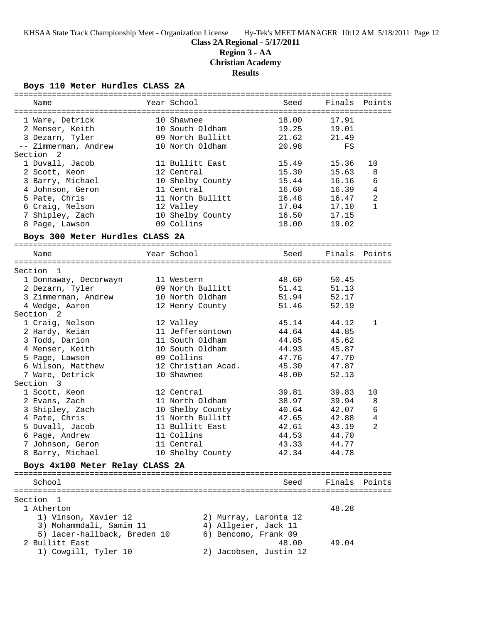**Region 3 - AA**

**Christian Academy**

# **Results**

**Boys 110 Meter Hurdles CLASS 2A**

| Name                            | Year School        |                        | Seed  | Finals Points |                |
|---------------------------------|--------------------|------------------------|-------|---------------|----------------|
|                                 |                    |                        |       |               |                |
| 1 Ware, Detrick                 | 10 Shawnee         |                        | 18.00 | 17.91         |                |
| 2 Menser, Keith                 | 10 South Oldham    |                        | 19.25 | 19.01         |                |
| 3 Dezarn, Tyler                 | 09 North Bullitt   |                        | 21.62 | 21.49         |                |
| -- Zimmerman, Andrew            | 10 North Oldham    |                        | 20.98 | FS            |                |
| Section 2                       |                    |                        |       |               |                |
| 1 Duvall, Jacob                 | 11 Bullitt East    |                        | 15.49 | 15.36         | 10             |
| 2 Scott, Keon                   | 12 Central         |                        | 15.30 | 15.63         | 8              |
| 3 Barry, Michael                | 10 Shelby County   |                        | 15.44 | 16.16         | 6              |
| 4 Johnson, Geron                | 11 Central         |                        | 16.60 | 16.39         | $\bf 4$        |
| 5 Pate, Chris                   | 11 North Bullitt   |                        | 16.48 | 16.47         | 2              |
| 6 Craig, Nelson                 | 12 Valley          |                        | 17.04 | 17.10         | $\mathbf{1}$   |
| 7 Shipley, Zach                 | 10 Shelby County   |                        | 16.50 | 17.15         |                |
| 8 Page, Lawson                  | 09 Collins         |                        | 18.00 | 19.02         |                |
| Boys 300 Meter Hurdles CLASS 2A |                    |                        |       |               |                |
| Name                            | Year School        |                        | Seed  | Finals Points |                |
|                                 |                    |                        |       |               |                |
| Section<br>- 1                  |                    |                        |       |               |                |
| 1 Donnaway, Decorwayn           | 11 Western         |                        | 48.60 | 50.45         |                |
| 2 Dezarn, Tyler                 | 09 North Bullitt   |                        | 51.41 | 51.13         |                |
| 3 Zimmerman, Andrew             | 10 North Oldham    |                        | 51.94 | 52.17         |                |
| 4 Wedge, Aaron                  | 12 Henry County    |                        | 51.46 | 52.19         |                |
| Section <sub>2</sub>            |                    |                        |       |               |                |
| 1 Craig, Nelson                 | 12 Valley          |                        | 45.14 | 44.12         | $\mathbf{1}$   |
| 2 Hardy, Keian                  | 11 Jeffersontown   |                        | 44.64 | 44.85         |                |
| 3 Todd, Darion                  | 11 South Oldham    |                        | 44.85 | 45.62         |                |
| 4 Menser, Keith                 | 10 South Oldham    |                        | 44.93 | 45.87         |                |
| 5 Page, Lawson                  | 09 Collins         |                        | 47.76 | 47.70         |                |
| 6 Wilson, Matthew               | 12 Christian Acad. |                        | 45.30 | 47.87         |                |
| 7 Ware, Detrick                 | 10 Shawnee         |                        | 48.00 | 52.13         |                |
| Section 3                       |                    |                        |       |               |                |
| 1 Scott, Keon                   | 12 Central         |                        | 39.81 | 39.83         | 10             |
| 2 Evans, Zach                   | 11 North Oldham    |                        | 38.97 | 39.94         | 8              |
| 3 Shipley, Zach                 | 10 Shelby County   |                        | 40.64 | 42.07         | 6              |
| 4 Pate, Chris                   | 11 North Bullitt   |                        | 42.65 | 42.88         | $\overline{4}$ |
| 5 Duvall, Jacob                 | 11 Bullitt East    |                        | 42.61 | 43.19         | $\overline{2}$ |
| 6 Page, Andrew                  | 11 Collins         |                        | 44.53 | 44.70         |                |
| 7 Johnson, Geron                | 11 Central         |                        | 43.33 | 44.77         |                |
| 8 Barry, Michael                | 10 Shelby County   |                        | 42.34 | 44.78         |                |
| Boys 4x100 Meter Relay CLASS 2A |                    |                        |       |               |                |
|                                 |                    |                        |       |               |                |
| School                          |                    |                        | Seed  | Finals Points |                |
|                                 |                    |                        |       |               |                |
| Section 1                       |                    |                        |       |               |                |
| 1 Atherton                      |                    |                        |       | 48.28         |                |
| 1) Vinson, Xavier 12            |                    | 2) Murray, Laronta 12  |       |               |                |
| 3) Mohammdali, Samim 11         |                    | 4) Allgeier, Jack 11   |       |               |                |
| 5) lacer-hallback, Breden 10    |                    | 6) Bencomo, Frank 09   |       |               |                |
| 2 Bullitt East                  |                    |                        | 48.00 | 49.04         |                |
| 1) Cowgill, Tyler 10            |                    | 2) Jacobsen, Justin 12 |       |               |                |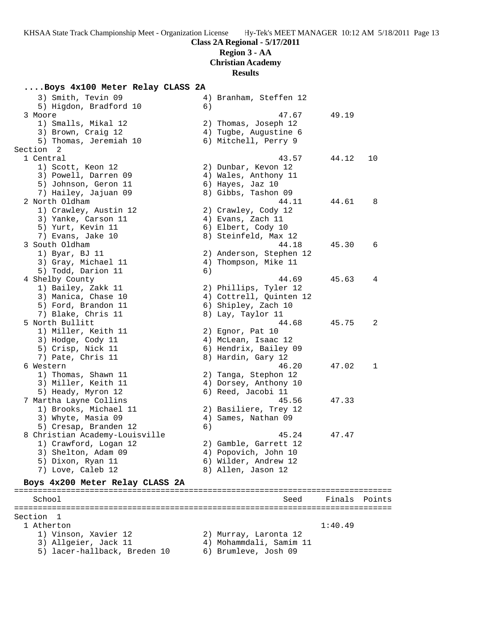# **Region 3 - AA**

**Christian Academy**

**Results**

# **....Boys 4x100 Meter Relay CLASS 2A**<br>3) Smith Tevin 09 4

| 3) Smith, Tevin 09<br>5) Higdon, Bradford 10 | 6) | 4) Branham, Steffen 12                           |         |        |
|----------------------------------------------|----|--------------------------------------------------|---------|--------|
| 3 Moore                                      |    | 47.67                                            | 49.19   |        |
| 1) Smalls, Mikal 12                          |    | 2) Thomas, Joseph 12                             |         |        |
| 3) Brown, Craig 12                           |    | 4) Tugbe, Augustine 6                            |         |        |
| 5) Thomas, Jeremiah 10                       |    | 6) Mitchell, Perry 9                             |         |        |
| Section 2                                    |    |                                                  |         |        |
| 1 Central                                    |    | 43.57                                            | 44.12   | 10     |
| 1) Scott, Keon 12                            |    | 2) Dunbar, Kevon 12                              |         |        |
| 3) Powell, Darren 09                         |    | 4) Wales, Anthony 11                             |         |        |
| 5) Johnson, Geron 11                         |    | 6) Hayes, Jaz 10                                 |         |        |
| 7) Hailey, Jajuan 09                         |    | 8) Gibbs, Tashon 09                              |         |        |
| 2 North Oldham                               |    | 44.11                                            | 44.61   | 8      |
| 1) Crawley, Austin 12                        |    | 2) Crawley, Cody 12                              |         |        |
| 3) Yanke, Carson 11                          |    | 4) Evans, Zach 11                                |         |        |
| 5) Yurt, Kevin 11                            |    | 6) Elbert, Cody 10                               |         |        |
| 7) Evans, Jake 10                            |    | 8) Steinfeld, Max 12                             |         |        |
| 3 South Oldham                               |    | 44.18                                            | 45.30   | 6      |
| 1) Byar, BJ 11                               |    | 2) Anderson, Stephen 12                          |         |        |
| 3) Gray, Michael 11                          |    | 4) Thompson, Mike 11                             |         |        |
| 5) Todd, Darion 11                           | 6) |                                                  |         |        |
|                                              |    | 44.69                                            | 45.63   | 4      |
| 4 Shelby County                              |    |                                                  |         |        |
| 1) Bailey, Zakk 11<br>3) Manica, Chase 10    |    | 2) Phillips, Tyler 12<br>4) Cottrell, Quinten 12 |         |        |
|                                              |    |                                                  |         |        |
| 5) Ford, Brandon 11                          |    | 6) Shipley, Zach 10                              |         |        |
| 7) Blake, Chris 11<br>5 North Bullitt        |    | 8) Lay, Taylor 11                                |         |        |
|                                              |    | 44.68                                            | 45.75   | 2      |
| 1) Miller, Keith 11                          |    | 2) Egnor, Pat 10                                 |         |        |
| 3) Hodge, Cody 11                            |    | 4) McLean, Isaac 12                              |         |        |
| 5) Crisp, Nick 11                            |    | 6) Hendrix, Bailey 09                            |         |        |
| 7) Pate, Chris 11                            |    | 8) Hardin, Gary 12                               |         |        |
| 6 Western                                    |    | 46.20                                            | 47.02   | 1      |
| 1) Thomas, Shawn 11                          |    | 2) Tanga, Stephon 12                             |         |        |
| 3) Miller, Keith 11                          |    | 4) Dorsey, Anthony 10                            |         |        |
| 5) Heady, Myron 12                           |    | 6) Reed, Jacobi 11                               |         |        |
| 7 Martha Layne Collins                       |    | 45.56                                            | 47.33   |        |
| 1) Brooks, Michael 11                        |    | 2) Basiliere, Trey 12                            |         |        |
| 3) Whyte, Masia 09                           |    | 4) Sames, Nathan 09                              |         |        |
| 5) Cresap, Branden 12                        | 6) |                                                  |         |        |
| 8 Christian Academy-Louisville               |    | 45.24                                            | 47.47   |        |
| 1) Crawford, Logan 12                        |    | 2) Gamble, Garrett 12                            |         |        |
| 3) Shelton, Adam 09                          |    | 4) Popovich, John 10                             |         |        |
| 5) Dixon, Ryan 11                            |    | 6) Wilder, Andrew 12                             |         |        |
| 7) Love, Caleb 12                            |    | 8) Allen, Jason 12                               |         |        |
| Boys 4x200 Meter Relay CLASS 2A              |    |                                                  |         |        |
|                                              |    |                                                  |         |        |
| School                                       |    | Seed                                             | Finals  | Points |
|                                              |    |                                                  |         |        |
| Section<br>-1<br>1 Atherton                  |    |                                                  | 1:40.49 |        |
| 1) Vinson, Xavier 12                         |    | 2) Murray, Laronta 12                            |         |        |
|                                              |    |                                                  |         |        |
| 3) Allgeier, Jack 11                         |    | 4) Mohammdali, Samim 11                          |         |        |
| 5) lacer-hallback, Breden 10                 |    | 6) Brumleve, Josh 09                             |         |        |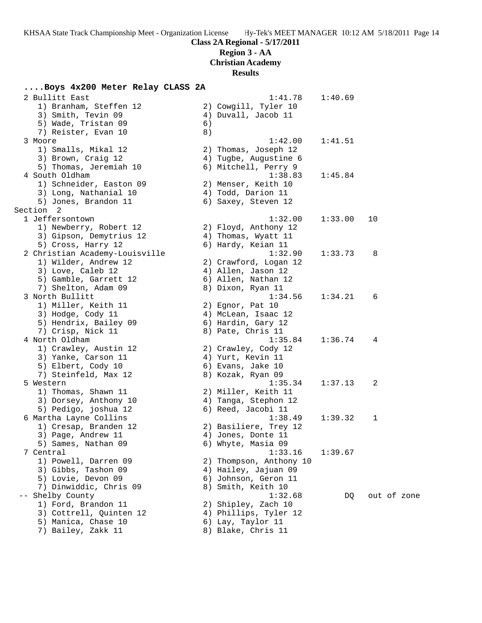**Region 3 - AA**

**Christian Academy**

**Results**

|      | Boys 4x200 Meter Relay CLASS 2A            |    |                                         |         |             |
|------|--------------------------------------------|----|-----------------------------------------|---------|-------------|
|      | 2 Bullitt East                             |    | 1:41.78                                 | 1:40.69 |             |
|      | 1) Branham, Steffen 12                     |    | 2) Cowgill, Tyler 10                    |         |             |
|      | 3) Smith, Tevin 09                         |    | 4) Duvall, Jacob 11                     |         |             |
|      | 5) Wade, Tristan 09                        | 6) |                                         |         |             |
|      | 7) Reister, Evan 10                        | 8) |                                         |         |             |
|      | 3 Moore                                    |    | 1:42.00                                 | 1:41.51 |             |
|      | 1) Smalls, Mikal 12                        |    | 2) Thomas, Joseph 12                    |         |             |
|      | 3) Brown, Craig 12                         |    | 4) Tugbe, Augustine 6                   |         |             |
|      | 5) Thomas, Jeremiah 10                     |    | 6) Mitchell, Perry 9                    |         |             |
|      | 4 South Oldham                             |    | 1:38.83                                 | 1:45.84 |             |
|      | 1) Schneider, Easton 09                    |    | 2) Menser, Keith 10                     |         |             |
|      | 3) Long, Nathanial 10                      |    | 4) Todd, Darion 11                      |         |             |
|      | 5) Jones, Brandon 11                       |    | 6) Saxey, Steven 12                     |         |             |
|      | Section 2                                  |    |                                         |         |             |
|      | 1 Jeffersontown                            |    | 1:32.00                                 | 1:33.00 | 10          |
|      | 1) Newberry, Robert 12                     |    | 2) Floyd, Anthony 12                    |         |             |
|      | 3) Gipson, Demytrius 12                    |    | 4) Thomas, Wyatt 11                     |         |             |
|      | 5) Cross, Harry 12                         |    | 6) Hardy, Keian 11                      |         |             |
|      | 2 Christian Academy-Louisville             |    | 1:32.90                                 | 1:33.73 | 8           |
|      | 1) Wilder, Andrew 12                       |    | 2) Crawford, Logan 12                   |         |             |
|      | 3) Love, Caleb 12                          |    | 4) Allen, Jason 12                      |         |             |
|      | 5) Gamble, Garrett 12                      |    | 6) Allen, Nathan 12                     |         |             |
|      | 7) Shelton, Adam 09                        |    | 8) Dixon, Ryan 11                       |         |             |
|      | 3 North Bullitt                            |    | 1:34.56                                 | 1:34.21 | 6           |
|      | 1) Miller, Keith 11                        |    | 2) Egnor, Pat 10                        |         |             |
|      | 3) Hodge, Cody 11                          |    | 4) McLean, Isaac 12                     |         |             |
|      | 5) Hendrix, Bailey 09<br>7) Crisp, Nick 11 |    | 6) Hardin, Gary 12<br>8) Pate, Chris 11 |         |             |
|      | 4 North Oldham                             |    | 1:35.84                                 | 1:36.74 | 4           |
|      | 1) Crawley, Austin 12                      |    | 2) Crawley, Cody 12                     |         |             |
|      | 3) Yanke, Carson 11                        |    | 4) Yurt, Kevin 11                       |         |             |
|      | 5) Elbert, Cody 10                         |    | 6) Evans, Jake 10                       |         |             |
|      | 7) Steinfeld, Max 12                       |    | 8) Kozak, Ryan 09                       |         |             |
|      | 5 Western                                  |    | 1:35.34                                 | 1:37.13 | 2           |
|      | 1) Thomas, Shawn 11                        |    | 2) Miller, Keith 11                     |         |             |
|      | 3) Dorsey, Anthony 10                      |    | 4) Tanga, Stephon 12                    |         |             |
|      | 5) Pedigo, joshua 12                       |    | 6) Reed, Jacobi 11                      |         |             |
|      | 6 Martha Layne Collins                     |    | 1:38.49                                 | 1:39.32 | 1           |
|      | 1) Cresap, Branden 12                      |    | 2) Basiliere, Trey 12                   |         |             |
|      | 3) Page, Andrew 11                         |    | 4) Jones, Donte 11                      |         |             |
|      | 5) Sames, Nathan 09                        |    | 6) Whyte, Masia 09                      |         |             |
|      | 7 Central                                  |    | 1:33.16                                 | 1:39.67 |             |
|      | 1) Powell, Darren 09                       |    | 2) Thompson, Anthony 10                 |         |             |
|      | 3) Gibbs, Tashon 09                        |    | 4) Hailey, Jajuan 09                    |         |             |
|      | 5) Lovie, Devon 09                         |    | 6) Johnson, Geron 11                    |         |             |
|      | 7) Dinwiddic, Chris 09                     |    | 8) Smith, Keith 10                      |         |             |
| $ -$ | Shelby County                              |    | 1:32.68                                 | DQ      | out of zone |
|      | 1) Ford, Brandon 11                        |    | 2) Shipley, Zach 10                     |         |             |
|      | 3) Cottrell, Quinten 12                    |    | 4) Phillips, Tyler 12                   |         |             |
|      | 5) Manica, Chase 10                        |    | 6) Lay, Taylor 11                       |         |             |
|      | 7) Bailey, Zakk 11                         |    | 8) Blake, Chris 11                      |         |             |
|      |                                            |    |                                         |         |             |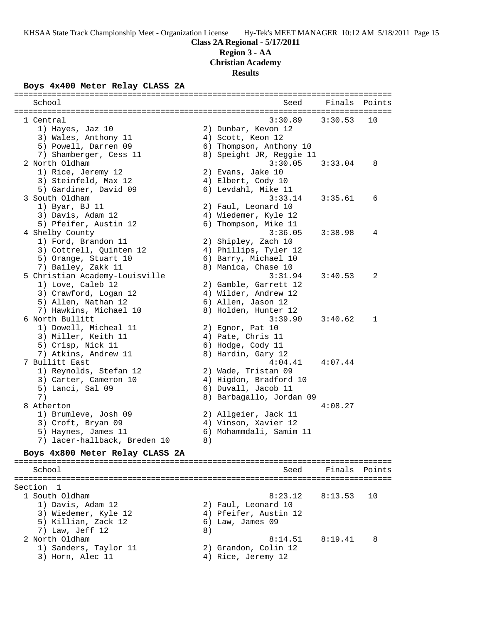**Region 3 - AA**

**Christian Academy**

**Results**

# **Boys 4x400 Meter Relay CLASS 2A**

| School                          |    | Seed                     | Finals Points |    |
|---------------------------------|----|--------------------------|---------------|----|
|                                 |    |                          |               |    |
| 1 Central                       |    | 3:30.89                  | 3:30.53       | 10 |
| 1) Hayes, Jaz 10                |    | 2) Dunbar, Kevon 12      |               |    |
| 3) Wales, Anthony 11            |    | 4) Scott, Keon 12        |               |    |
| 5) Powell, Darren 09            |    | 6) Thompson, Anthony 10  |               |    |
| 7) Shamberger, Cess 11          |    | 8) Speight JR, Reggie 11 |               |    |
| 2 North Oldham                  |    | 3:30.05                  | 3:33.04       | 8  |
| 1) Rice, Jeremy 12              |    | 2) Evans, Jake 10        |               |    |
| 3) Steinfeld, Max 12            |    | 4) Elbert, Cody 10       |               |    |
| 5) Gardiner, David 09           |    | 6) Levdahl, Mike 11      |               |    |
| 3 South Oldham                  |    | 3:33.14                  | 3:35.61       | 6  |
| 1) Byar, BJ 11                  |    | 2) Faul, Leonard 10      |               |    |
| 3) Davis, Adam 12               |    | 4) Wiedemer, Kyle 12     |               |    |
| 5) Pfeifer, Austin 12           |    | 6) Thompson, Mike 11     |               |    |
| 4 Shelby County                 |    | 3:36.05                  | 3:38.98       | 4  |
| 1) Ford, Brandon 11             |    | 2) Shipley, Zach 10      |               |    |
| 3) Cottrell, Quinten 12         |    | 4) Phillips, Tyler 12    |               |    |
| 5) Orange, Stuart 10            |    | 6) Barry, Michael 10     |               |    |
| 7) Bailey, Zakk 11              |    | 8) Manica, Chase 10      |               |    |
| 5 Christian Academy-Louisville  |    | 3:31.94                  | 3:40.53       | 2  |
| 1) Love, Caleb 12               |    | 2) Gamble, Garrett 12    |               |    |
| 3) Crawford, Logan 12           |    | 4) Wilder, Andrew 12     |               |    |
| 5) Allen, Nathan 12             |    | 6) Allen, Jason 12       |               |    |
| 7) Hawkins, Michael 10          |    | 8) Holden, Hunter 12     |               |    |
| 6 North Bullitt                 |    | 3:39.90                  | 3:40.62       | 1  |
| 1) Dowell, Micheal 11           |    | 2) Egnor, Pat 10         |               |    |
| 3) Miller, Keith 11             |    | 4) Pate, Chris 11        |               |    |
| 5) Crisp, Nick 11               |    | 6) Hodge, Cody 11        |               |    |
| 7) Atkins, Andrew 11            |    | 8) Hardin, Gary 12       |               |    |
| 7 Bullitt East                  |    | 4:04.41                  | 4:07.44       |    |
| 1) Reynolds, Stefan 12          |    | 2) Wade, Tristan 09      |               |    |
| 3) Carter, Cameron 10           |    | 4) Higdon, Bradford 10   |               |    |
| 5) Lanci, Sal 09                |    | 6) Duvall, Jacob 11      |               |    |
| 7)                              |    | 8) Barbagallo, Jordan 09 |               |    |
| 8 Atherton                      |    |                          | 4:08.27       |    |
| 1) Brumleve, Josh 09            |    | 2) Allgeier, Jack 11     |               |    |
| 3) Croft, Bryan 09              |    | 4) Vinson, Xavier 12     |               |    |
| 5) Haynes, James 11             |    | 6) Mohammdali, Samim 11  |               |    |
| 7) lacer-hallback, Breden 10    | 8) |                          |               |    |
| Boys 4x800 Meter Relay CLASS 2A |    |                          |               |    |
| School                          |    | Seed                     | Finals Points |    |
|                                 |    |                          |               |    |
| Section<br>-1                   |    |                          |               |    |
| 1 South Oldham                  |    | 8:23.12                  | 8:13.53       | 10 |
| 1) Davis, Adam 12               |    | 2) Faul, Leonard 10      |               |    |
| 3) Wiedemer, Kyle 12            |    | 4) Pfeifer, Austin 12    |               |    |
| 5) Killian, Zack 12             |    | 6) Law, James 09         |               |    |
| 7) Law, Jeff 12                 | 8) |                          |               |    |
| 2 North Oldham                  |    | 8:14.51                  | 8:19.41       | 8  |
| 1) Sanders, Taylor 11           |    | 2) Grandon, Colin 12     |               |    |
| 3) Horn, Alec 11                |    | 4) Rice, Jeremy 12       |               |    |
|                                 |    |                          |               |    |